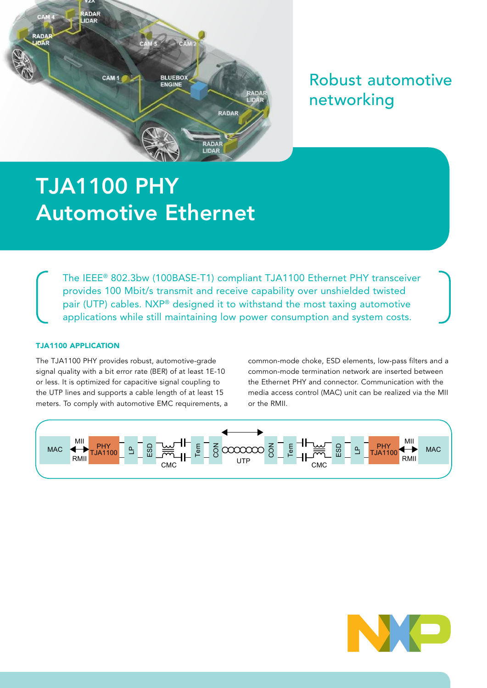

## Robust automotive networking

# TJA1100 PHY Automotive Ethernet

The IEEE® 802.3bw (100BASE-T1) compliant TJA1100 Ethernet PHY transceiver provides 100 Mbit/s transmit and receive capability over unshielded twisted pair (UTP) cables. NXP® designed it to withstand the most taxing automotive applications while still maintaining low power consumption and system costs.

### TJA1100 APPLICATION

The TJA1100 PHY provides robust, automotive-grade signal quality with a bit error rate (BER) of at least 1E-10 or less. It is optimized for capacitive signal coupling to the UTP lines and supports a cable length of at least 15 meters. To comply with automotive EMC requirements, a common-mode choke, ESD elements, low-pass filters and a common-mode termination network are inserted between the Ethernet PHY and connector. Communication with the media access control (MAC) unit can be realized via the MII or the RMII.